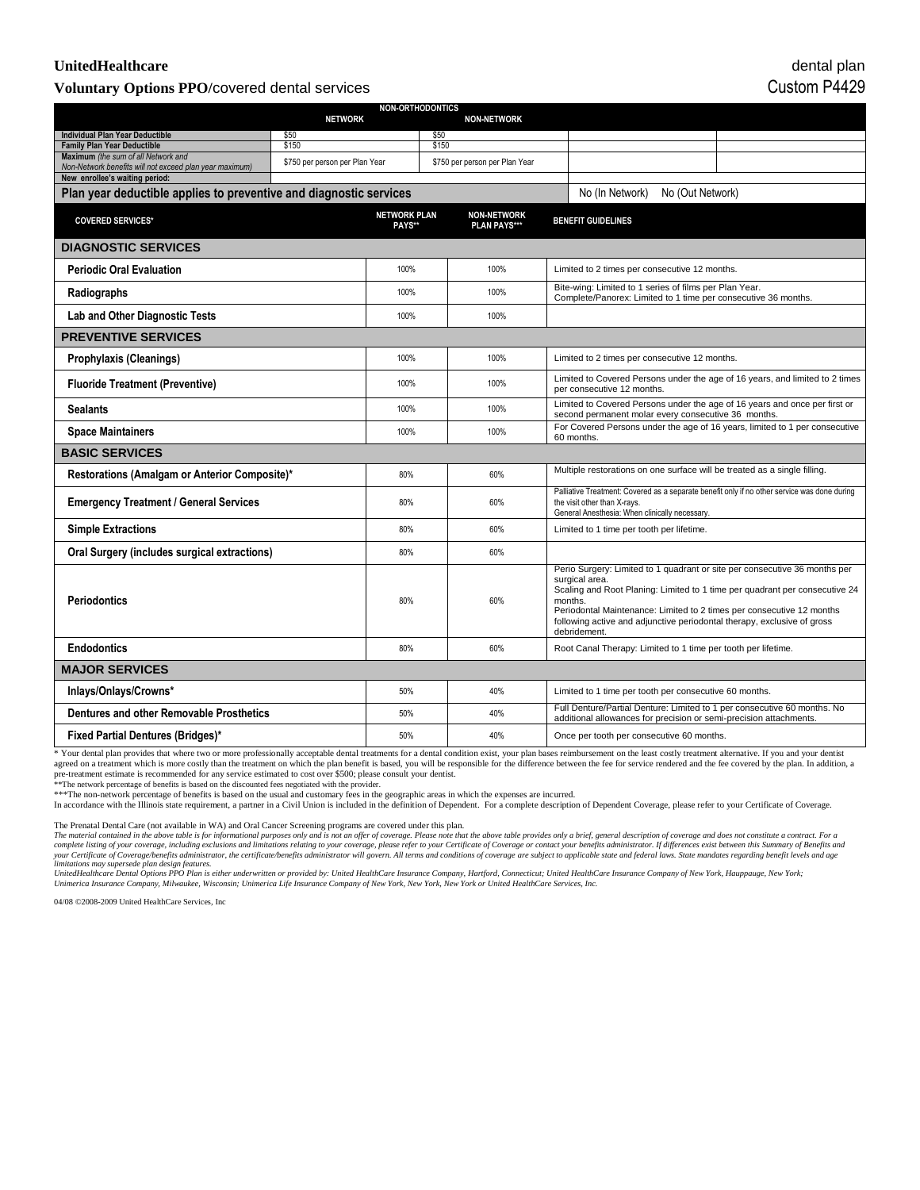## **UnitedHealthcare** dental plan

**Voluntary Options PPO/covered dental services** Custom P4429

| <b>NON-ORTHODONTICS</b><br><b>NETWORK</b><br><b>NON-NETWORK</b>                                                                  |       |                                                                            |                                |                                                                                                                          |                                                                                                                                                                                                                                                                                                                                                            |  |  |  |
|----------------------------------------------------------------------------------------------------------------------------------|-------|----------------------------------------------------------------------------|--------------------------------|--------------------------------------------------------------------------------------------------------------------------|------------------------------------------------------------------------------------------------------------------------------------------------------------------------------------------------------------------------------------------------------------------------------------------------------------------------------------------------------------|--|--|--|
| <b>Individual Plan Year Deductible</b>                                                                                           | \$50  |                                                                            | \$50                           |                                                                                                                          |                                                                                                                                                                                                                                                                                                                                                            |  |  |  |
| <b>Family Plan Year Deductible</b>                                                                                               | \$150 |                                                                            | \$150                          |                                                                                                                          |                                                                                                                                                                                                                                                                                                                                                            |  |  |  |
| Maximum (the sum of all Network and<br>\$750 per person per Plan Year<br>Non-Network benefits will not exceed plan year maximum) |       |                                                                            | \$750 per person per Plan Year |                                                                                                                          |                                                                                                                                                                                                                                                                                                                                                            |  |  |  |
| New enrollee's waiting period:                                                                                                   |       |                                                                            |                                |                                                                                                                          |                                                                                                                                                                                                                                                                                                                                                            |  |  |  |
| Plan year deductible applies to preventive and diagnostic services<br>No (Out Network)<br>No (In Network)                        |       |                                                                            |                                |                                                                                                                          |                                                                                                                                                                                                                                                                                                                                                            |  |  |  |
| <b>COVERED SERVICES*</b>                                                                                                         |       | <b>NETWORK PLAN</b><br><b>NON-NETWORK</b><br>PAYS**<br><b>PLAN PAYS***</b> |                                |                                                                                                                          | <b>BENEFIT GUIDELINES</b>                                                                                                                                                                                                                                                                                                                                  |  |  |  |
| <b>DIAGNOSTIC SERVICES</b>                                                                                                       |       |                                                                            |                                |                                                                                                                          |                                                                                                                                                                                                                                                                                                                                                            |  |  |  |
| <b>Periodic Oral Evaluation</b>                                                                                                  |       | 100%                                                                       | 100%                           |                                                                                                                          | Limited to 2 times per consecutive 12 months.                                                                                                                                                                                                                                                                                                              |  |  |  |
| Radiographs                                                                                                                      |       | 100%<br>100%                                                               |                                | Bite-wing: Limited to 1 series of films per Plan Year.<br>Complete/Panorex: Limited to 1 time per consecutive 36 months. |                                                                                                                                                                                                                                                                                                                                                            |  |  |  |
| <b>Lab and Other Diagnostic Tests</b>                                                                                            |       | 100%                                                                       | 100%                           |                                                                                                                          |                                                                                                                                                                                                                                                                                                                                                            |  |  |  |
| <b>PREVENTIVE SERVICES</b>                                                                                                       |       |                                                                            |                                |                                                                                                                          |                                                                                                                                                                                                                                                                                                                                                            |  |  |  |
| <b>Prophylaxis (Cleanings)</b>                                                                                                   |       | 100%                                                                       | 100%                           |                                                                                                                          | Limited to 2 times per consecutive 12 months.                                                                                                                                                                                                                                                                                                              |  |  |  |
| <b>Fluoride Treatment (Preventive)</b>                                                                                           |       | 100%                                                                       | 100%                           |                                                                                                                          | Limited to Covered Persons under the age of 16 years, and limited to 2 times<br>per consecutive 12 months.                                                                                                                                                                                                                                                 |  |  |  |
| <b>Sealants</b>                                                                                                                  |       | 100%                                                                       | 100%                           |                                                                                                                          | Limited to Covered Persons under the age of 16 years and once per first or<br>second permanent molar every consecutive 36 months.                                                                                                                                                                                                                          |  |  |  |
| <b>Space Maintainers</b>                                                                                                         |       | 100%                                                                       | 100%                           |                                                                                                                          | For Covered Persons under the age of 16 years, limited to 1 per consecutive<br>60 months.                                                                                                                                                                                                                                                                  |  |  |  |
| <b>BASIC SERVICES</b>                                                                                                            |       |                                                                            |                                |                                                                                                                          |                                                                                                                                                                                                                                                                                                                                                            |  |  |  |
| Restorations (Amalgam or Anterior Composite)*                                                                                    |       | 80%                                                                        | 60%                            |                                                                                                                          | Multiple restorations on one surface will be treated as a single filling.                                                                                                                                                                                                                                                                                  |  |  |  |
| <b>Emergency Treatment / General Services</b>                                                                                    |       | 80%                                                                        | 60%                            |                                                                                                                          | Palliative Treatment: Covered as a separate benefit only if no other service was done during<br>the visit other than X-rays.<br>General Anesthesia: When clinically necessary.                                                                                                                                                                             |  |  |  |
| <b>Simple Extractions</b>                                                                                                        |       | 80%                                                                        | 60%                            |                                                                                                                          | Limited to 1 time per tooth per lifetime.                                                                                                                                                                                                                                                                                                                  |  |  |  |
| Oral Surgery (includes surgical extractions)                                                                                     |       | 80%                                                                        | 60%                            |                                                                                                                          |                                                                                                                                                                                                                                                                                                                                                            |  |  |  |
| Periodontics                                                                                                                     |       | 80%                                                                        | 60%                            |                                                                                                                          | Perio Surgery: Limited to 1 quadrant or site per consecutive 36 months per<br>surgical area.<br>Scaling and Root Planing: Limited to 1 time per quadrant per consecutive 24<br>months.<br>Periodontal Maintenance: Limited to 2 times per consecutive 12 months<br>following active and adjunctive periodontal therapy, exclusive of gross<br>debridement. |  |  |  |
| <b>Endodontics</b>                                                                                                               |       | 80%                                                                        | 60%                            |                                                                                                                          | Root Canal Therapy: Limited to 1 time per tooth per lifetime.                                                                                                                                                                                                                                                                                              |  |  |  |
| <b>MAJOR SERVICES</b>                                                                                                            |       |                                                                            |                                |                                                                                                                          |                                                                                                                                                                                                                                                                                                                                                            |  |  |  |
| Inlays/Onlays/Crowns*                                                                                                            |       | 50%                                                                        | 40%                            |                                                                                                                          | Limited to 1 time per tooth per consecutive 60 months.                                                                                                                                                                                                                                                                                                     |  |  |  |
| Dentures and other Removable Prosthetics                                                                                         |       | 50%                                                                        | 40%                            |                                                                                                                          | Full Denture/Partial Denture: Limited to 1 per consecutive 60 months. No<br>additional allowances for precision or semi-precision attachments.                                                                                                                                                                                                             |  |  |  |
| <b>Fixed Partial Dentures (Bridges)*</b>                                                                                         |       | 50%                                                                        | 40%                            |                                                                                                                          | Once per tooth per consecutive 60 months.                                                                                                                                                                                                                                                                                                                  |  |  |  |

\* Your dental plan provides that where two or more professionally acceptable dental treatments for a dental condition exist, your plan bases reimbursement on the least costly treatment alternative. If you and your dentist agreed on a treatment which is more costly than the treatment on which the plan benefit is based, you will be responsible for the difference between the fee for service rendered and the fee covered by the plan. In addition

pre-treatment estimate is recommended for any service estimated to cost over \$500; please consult your dentist.<br>\*\*\*The network percentage of benefits is based on the discounted fees negotiated with the provider.<br>\*\*\*The non

The Prenatal Dental Care (not available in WA) and Oral Cancer Screening programs are covered under this plan.

The material contained in the above table is for informational purposes only and is not an offer of coverage. Please note that the above table provides only a brief, general description of coverage and does not constitute

04/08 ©2008-2009 United HealthCare Services, Inc